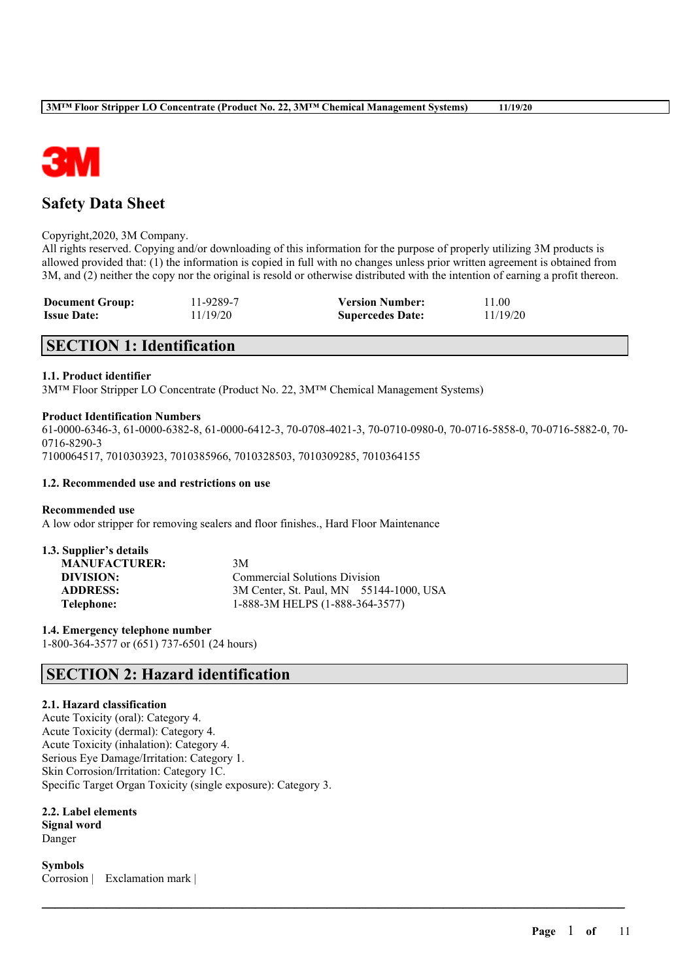

# **Safety Data Sheet**

#### Copyright,2020, 3M Company.

All rights reserved. Copying and/or downloading of this information for the purpose of properly utilizing 3M products is allowed provided that: (1) the information is copied in full with no changes unless prior written agreement is obtained from 3M, and (2) neither the copy nor the original is resold or otherwise distributed with the intention of earning a profit thereon.

| <b>Document Group:</b> | 11-9289-7 | <b>Version Number:</b>  | 11.00    |
|------------------------|-----------|-------------------------|----------|
| <b>Issue Date:</b>     | 11/19/20  | <b>Supercedes Date:</b> | 11/19/20 |

# **SECTION 1: Identification**

### **1.1. Product identifier**

3M™ Floor Stripper LO Concentrate (Product No. 22, 3M™ Chemical Management Systems)

#### **Product Identification Numbers**

61-0000-6346-3, 61-0000-6382-8, 61-0000-6412-3, 70-0708-4021-3, 70-0710-0980-0, 70-0716-5858-0, 70-0716-5882-0, 70- 0716-8290-3

 $\mathcal{L}_\mathcal{L} = \mathcal{L}_\mathcal{L} = \mathcal{L}_\mathcal{L} = \mathcal{L}_\mathcal{L} = \mathcal{L}_\mathcal{L} = \mathcal{L}_\mathcal{L} = \mathcal{L}_\mathcal{L} = \mathcal{L}_\mathcal{L} = \mathcal{L}_\mathcal{L} = \mathcal{L}_\mathcal{L} = \mathcal{L}_\mathcal{L} = \mathcal{L}_\mathcal{L} = \mathcal{L}_\mathcal{L} = \mathcal{L}_\mathcal{L} = \mathcal{L}_\mathcal{L} = \mathcal{L}_\mathcal{L} = \mathcal{L}_\mathcal{L}$ 

7100064517, 7010303923, 7010385966, 7010328503, 7010309285, 7010364155

#### **1.2. Recommended use and restrictions on use**

#### **Recommended use**

A low odor stripper for removing sealers and floor finishes., Hard Floor Maintenance

| 1.3. Supplier's details |                                         |  |
|-------------------------|-----------------------------------------|--|
| <b>MANUFACTURER:</b>    | 3M                                      |  |
| DIVISION:               | <b>Commercial Solutions Division</b>    |  |
| <b>ADDRESS:</b>         | 3M Center, St. Paul, MN 55144-1000, USA |  |
| Telephone:              | 1-888-3M HELPS (1-888-364-3577)         |  |

**1.4. Emergency telephone number**

1-800-364-3577 or (651) 737-6501 (24 hours)

## **SECTION 2: Hazard identification**

#### **2.1. Hazard classification**

Acute Toxicity (oral): Category 4. Acute Toxicity (dermal): Category 4. Acute Toxicity (inhalation): Category 4. Serious Eye Damage/Irritation: Category 1. Skin Corrosion/Irritation: Category 1C. Specific Target Organ Toxicity (single exposure): Category 3.

**2.2. Label elements Signal word** Danger

**Symbols** Corrosion | Exclamation mark |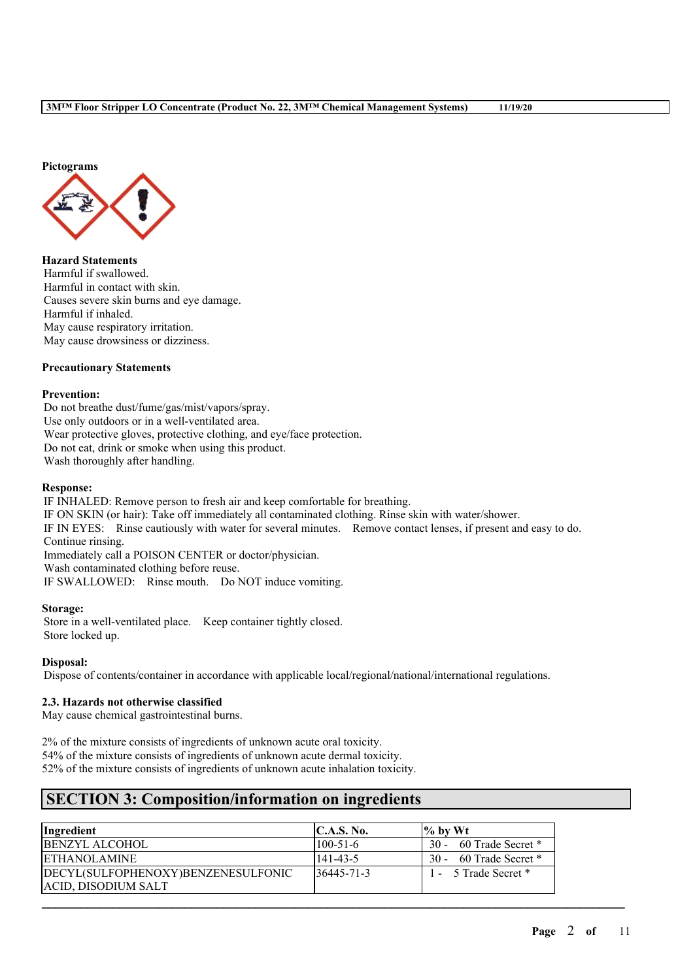

**Hazard Statements** Harmful if swallowed. Harmful in contact with skin. Causes severe skin burns and eye damage. Harmful if inhaled. May cause respiratory irritation. May cause drowsiness or dizziness.

### **Precautionary Statements**

### **Prevention:**

Do not breathe dust/fume/gas/mist/vapors/spray. Use only outdoors or in a well-ventilated area. Wear protective gloves, protective clothing, and eye/face protection. Do not eat, drink or smoke when using this product. Wash thoroughly after handling.

#### **Response:**

IF INHALED: Remove person to fresh air and keep comfortable for breathing. IF ON SKIN (or hair): Take off immediately all contaminated clothing. Rinse skin with water/shower. IF IN EYES: Rinse cautiously with water for several minutes. Remove contact lenses, if present and easy to do. Continue rinsing. Immediately call a POISON CENTER or doctor/physician. Wash contaminated clothing before reuse. IF SWALLOWED: Rinse mouth. Do NOT induce vomiting.

### **Storage:**

Store in a well-ventilated place. Keep container tightly closed. Store locked up.

### **Disposal:**

Dispose of contents/container in accordance with applicable local/regional/national/international regulations.

### **2.3. Hazards not otherwise classified**

May cause chemical gastrointestinal burns.

2% of the mixture consists of ingredients of unknown acute oral toxicity. 54% of the mixture consists of ingredients of unknown acute dermal toxicity.

52% of the mixture consists of ingredients of unknown acute inhalation toxicity.

# **SECTION 3: Composition/information on ingredients**

| Ingredient                         | $\mathsf{IC.A.S.}\$ No. | $\frac{9}{6}$ by Wt    |
|------------------------------------|-------------------------|------------------------|
| <b>BENZYL ALCOHOL</b>              | $100 - 51 - 6$          | 30 - 60 Trade Secret * |
| <b>ETHANOLAMINE</b>                | $141-43-5$              | 30 - 60 Trade Secret * |
| DECYL(SULFOPHENOXY)BENZENESULFONIC | $36445 - 71 - 3$        | 1 - 5 Trade Secret *   |
| <b>ACID. DISODIUM SALT</b>         |                         |                        |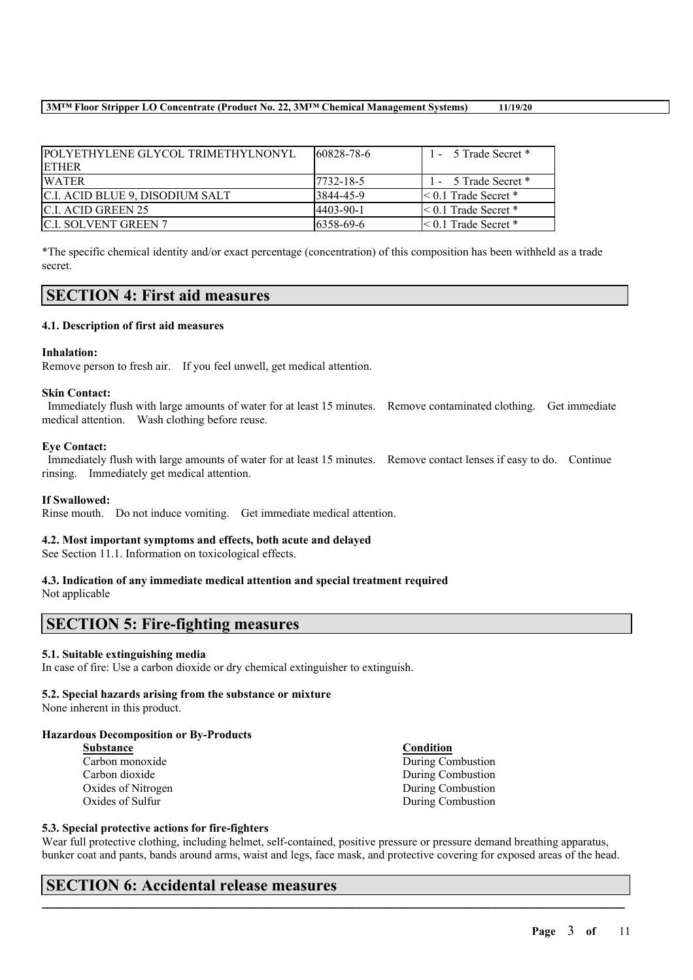| <b>POLYETHYLENE GLYCOL TRIMETHYLNONYL</b> | $160828 - 78 - 6$ | 1 - 5 Trade Secret *      |
|-------------------------------------------|-------------------|---------------------------|
| <b>ETHER</b>                              |                   |                           |
| <b>WATER</b>                              | 17732-18-5        | 1 - 5 Trade Secret *      |
| C.I. ACID BLUE 9, DISODIUM SALT           | 3844-45-9         | $\leq 0.1$ Trade Secret * |
| IC.I. ACID GREEN 25                       | 4403-90-1         | $\leq 0.1$ Trade Secret * |
| <b>IC.L. SOLVENT GREEN 7</b>              | $16358 - 69 - 6$  | $\leq 0.1$ Trade Secret * |

\*The specific chemical identity and/or exact percentage (concentration) of this composition has been withheld as a trade secret.

## **SECTION 4: First aid measures**

### **4.1. Description of first aid measures**

### **Inhalation:**

Remove person to fresh air. If you feel unwell, get medical attention.

#### **Skin Contact:**

Immediately flush with large amounts of water for at least 15 minutes. Remove contaminated clothing. Get immediate medical attention. Wash clothing before reuse.

#### **Eye Contact:**

Immediately flush with large amounts of water for at least 15 minutes. Remove contact lenses if easy to do. Continue rinsing. Immediately get medical attention.

### **If Swallowed:**

Rinse mouth. Do not induce vomiting. Get immediate medical attention.

### **4.2. Most important symptoms and effects, both acute and delayed**

See Section 11.1. Information on toxicological effects.

#### **4.3. Indication of any immediate medical attention and special treatment required** Not applicable

## **SECTION 5: Fire-fighting measures**

### **5.1. Suitable extinguishing media**

In case of fire: Use a carbon dioxide or dry chemical extinguisher to extinguish.

### **5.2. Special hazards arising from the substance or mixture**

None inherent in this product.

### **Hazardous Decomposition or By-Products**

| <b>Substance</b>   |
|--------------------|
| Carbon monoxide    |
| Carbon dioxide     |
| Oxides of Nitrogen |
| Oxides of Sulfur   |

**Substance Condition** During Combustion During Combustion During Combustion During Combustion

### **5.3. Special protective actions for fire-fighters**

Wear full protective clothing, including helmet, self-contained, positive pressure or pressure demand breathing apparatus, bunker coat and pants, bands around arms, waist and legs, face mask, and protective covering for exposed areas of the head.

 $\mathcal{L}_\mathcal{L} = \mathcal{L}_\mathcal{L} = \mathcal{L}_\mathcal{L} = \mathcal{L}_\mathcal{L} = \mathcal{L}_\mathcal{L} = \mathcal{L}_\mathcal{L} = \mathcal{L}_\mathcal{L} = \mathcal{L}_\mathcal{L} = \mathcal{L}_\mathcal{L} = \mathcal{L}_\mathcal{L} = \mathcal{L}_\mathcal{L} = \mathcal{L}_\mathcal{L} = \mathcal{L}_\mathcal{L} = \mathcal{L}_\mathcal{L} = \mathcal{L}_\mathcal{L} = \mathcal{L}_\mathcal{L} = \mathcal{L}_\mathcal{L}$ 

# **SECTION 6: Accidental release measures**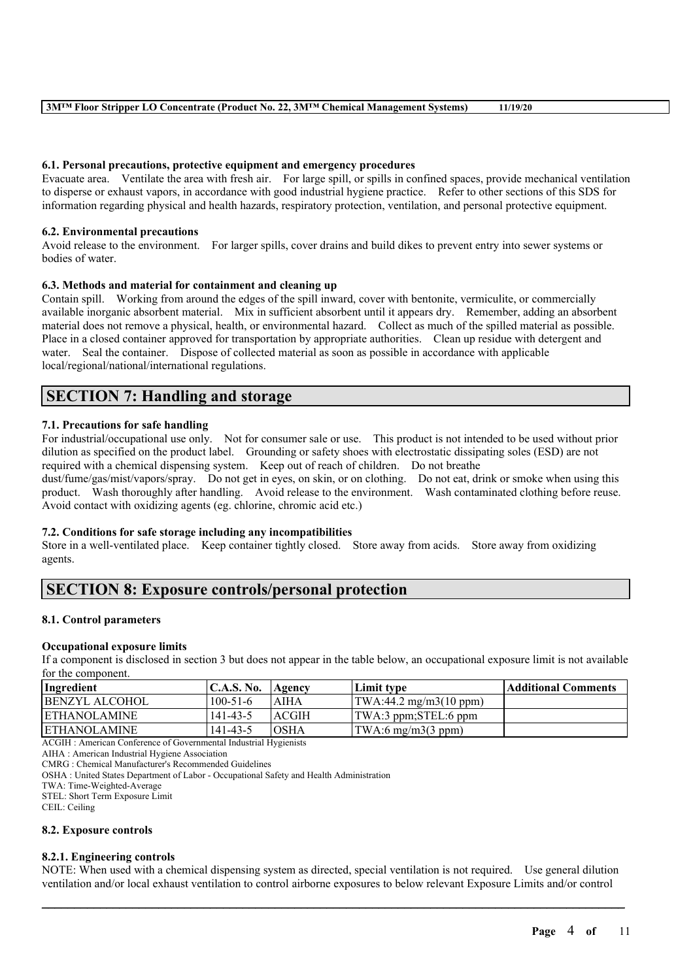### **6.1. Personal precautions, protective equipment and emergency procedures**

Evacuate area. Ventilate the area with fresh air. For large spill, or spills in confined spaces, provide mechanical ventilation to disperse or exhaust vapors, in accordance with good industrial hygiene practice. Refer to other sections of this SDS for information regarding physical and health hazards, respiratory protection, ventilation, and personal protective equipment.

### **6.2. Environmental precautions**

Avoid release to the environment. For larger spills, cover drains and build dikes to prevent entry into sewer systems or bodies of water.

### **6.3. Methods and material for containment and cleaning up**

Contain spill. Working from around the edges of the spill inward, cover with bentonite, vermiculite, or commercially available inorganic absorbent material. Mix in sufficient absorbent until it appears dry. Remember, adding an absorbent material does not remove a physical, health, or environmental hazard. Collect as much of the spilled material as possible. Place in a closed container approved for transportation by appropriate authorities. Clean up residue with detergent and water. Seal the container. Dispose of collected material as soon as possible in accordance with applicable local/regional/national/international regulations.

# **SECTION 7: Handling and storage**

### **7.1. Precautions for safe handling**

For industrial/occupational use only. Not for consumer sale or use. This product is not intended to be used without prior dilution as specified on the product label. Grounding or safety shoes with electrostatic dissipating soles (ESD) are not required with a chemical dispensing system. Keep out of reach of children. Do not breathe

dust/fume/gas/mist/vapors/spray. Do not get in eyes, on skin, or on clothing. Do not eat, drink or smoke when using this product. Wash thoroughly after handling. Avoid release to the environment. Wash contaminated clothing before reuse. Avoid contact with oxidizing agents (eg. chlorine, chromic acid etc.)

### **7.2. Conditions for safe storage including any incompatibilities**

Store in a well-ventilated place. Keep container tightly closed. Store away from acids. Store away from oxidizing agents.

# **SECTION 8: Exposure controls/personal protection**

### **8.1. Control parameters**

### **Occupational exposure limits**

If a component is disclosed in section 3 but does not appear in the table below, an occupational exposure limit is not available for the component.

| Ingredient             | <b>C.A.S. No.</b> | Agency      | Limit type                                      | Additional Comments |
|------------------------|-------------------|-------------|-------------------------------------------------|---------------------|
| <b>IBENZYL ALCOHOL</b> | $100 - 51 - 6$    | <b>AIHA</b> | $\text{TWA}:44.2 \text{ mg/m3}(10 \text{ ppm})$ |                     |
| <b>ETHANOLAMINE</b>    | $141 - 43 - 5$    | ACGIH       | ITWA:3 ppm:STEL:6 ppm                           |                     |
| <b>ETHANOLAMINE</b>    | $141 - 43 - 5$    | IOSHA       | $\text{TWA:6 mg/m3}(3 \text{ ppm})$             |                     |
| $\sqrt{2}$<br>$\sim$   | $\cdots$          |             |                                                 |                     |

ACGIH : American Conference of Governmental Industrial Hygienists

AIHA : American Industrial Hygiene Association

CMRG : Chemical Manufacturer's Recommended Guidelines

OSHA : United States Department of Labor - Occupational Safety and Health Administration

TWA: Time-Weighted-Average

STEL: Short Term Exposure Limit

# CEIL: Ceiling

### **8.2. Exposure controls**

### **8.2.1. Engineering controls**

NOTE: When used with a chemical dispensing system as directed, special ventilation is not required. Use general dilution ventilation and/or local exhaust ventilation to control airborne exposures to below relevant Exposure Limits and/or control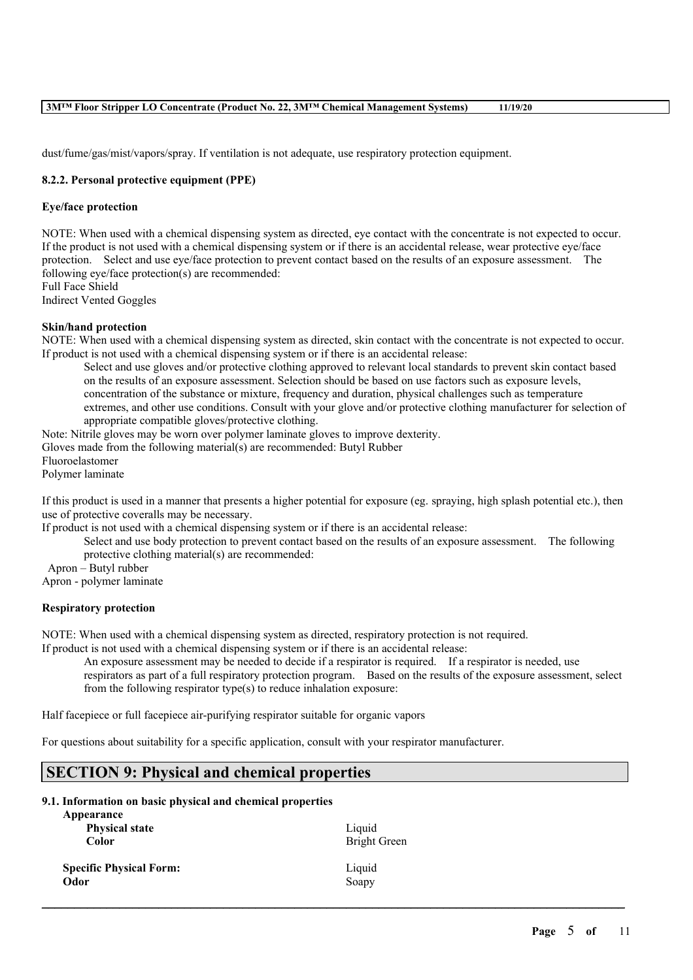dust/fume/gas/mist/vapors/spray. If ventilation is not adequate, use respiratory protection equipment.

#### **8.2.2. Personal protective equipment (PPE)**

#### **Eye/face protection**

NOTE: When used with a chemical dispensing system as directed, eye contact with the concentrate is not expected to occur. If the product is not used with a chemical dispensing system or if there is an accidental release, wear protective eye/face protection. Select and use eye/face protection to prevent contact based on the results of an exposure assessment. The following eye/face protection(s) are recommended: Full Face Shield

Indirect Vented Goggles

#### **Skin/hand protection**

NOTE: When used with a chemical dispensing system as directed, skin contact with the concentrate is not expected to occur. If product is not used with a chemical dispensing system or if there is an accidental release:

Select and use gloves and/or protective clothing approved to relevant local standards to prevent skin contact based on the results of an exposure assessment. Selection should be based on use factors such as exposure levels, concentration of the substance or mixture, frequency and duration, physical challenges such as temperature extremes, and other use conditions. Consult with your glove and/or protective clothing manufacturer for selection of appropriate compatible gloves/protective clothing.

Note: Nitrile gloves may be worn over polymer laminate gloves to improve dexterity.

Gloves made from the following material(s) are recommended: Butyl Rubber

Fluoroelastomer

Polymer laminate

If this product is used in a manner that presents a higher potential for exposure (eg. spraying, high splash potential etc.), then use of protective coveralls may be necessary.

If product is not used with a chemical dispensing system or if there is an accidental release:

Select and use body protection to prevent contact based on the results of an exposure assessment. The following protective clothing material(s) are recommended:

Apron – Butyl rubber

Apron - polymer laminate

#### **Respiratory protection**

NOTE: When used with a chemical dispensing system as directed, respiratory protection is not required.

If product is not used with a chemical dispensing system or if there is an accidental release:

An exposure assessment may be needed to decide if a respirator is required. If a respirator is needed, use respirators as part of a full respiratory protection program. Based on the results of the exposure assessment, select from the following respirator type(s) to reduce inhalation exposure:

 $\mathcal{L}_\mathcal{L} = \mathcal{L}_\mathcal{L} = \mathcal{L}_\mathcal{L} = \mathcal{L}_\mathcal{L} = \mathcal{L}_\mathcal{L} = \mathcal{L}_\mathcal{L} = \mathcal{L}_\mathcal{L} = \mathcal{L}_\mathcal{L} = \mathcal{L}_\mathcal{L} = \mathcal{L}_\mathcal{L} = \mathcal{L}_\mathcal{L} = \mathcal{L}_\mathcal{L} = \mathcal{L}_\mathcal{L} = \mathcal{L}_\mathcal{L} = \mathcal{L}_\mathcal{L} = \mathcal{L}_\mathcal{L} = \mathcal{L}_\mathcal{L}$ 

Half facepiece or full facepiece air-purifying respirator suitable for organic vapors

For questions about suitability for a specific application, consult with your respirator manufacturer.

## **SECTION 9: Physical and chemical properties**

### **9.1. Information on basic physical and chemical properties**

| Appearance<br><b>Physical state</b><br>Color | Liquid<br><b>Bright Green</b> |
|----------------------------------------------|-------------------------------|
| <b>Specific Physical Form:</b>               | Liquid                        |
| Odor                                         | Soapy                         |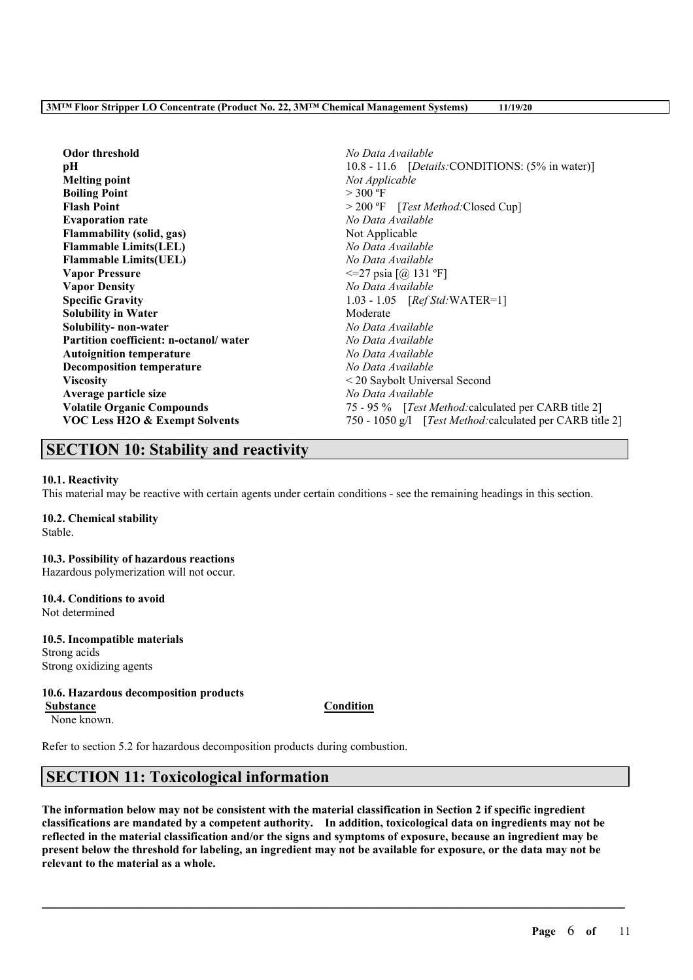| <b>Flammable Limits(UEL)</b><br>No Data Available<br>$\leq$ 27 psia [@ 131 °F]<br><b>Vapor Pressure</b><br>No Data Available<br><b>Vapor Density</b><br><b>Specific Gravity</b><br>1.03 - 1.05 [Ref Std: WATER=1]<br><b>Solubility in Water</b><br>Moderate<br>Solubility-non-water<br>No Data Available<br>Partition coefficient: n-octanol/water<br>No Data Available<br>No Data Available<br><b>Autoignition temperature</b><br><b>Decomposition temperature</b><br>No Data Available<br>< 20 Saybolt Universal Second<br><b>Viscosity</b><br>No Data Available<br>Average particle size<br><b>Volatile Organic Compounds</b><br>75 - 95 % [ <i>Test Method:</i> calculated per CARB title 2]<br>750 - 1050 g/l [Test Method: calculated per CARB title 2]<br><b>VOC Less H2O &amp; Exempt Solvents</b> |
|------------------------------------------------------------------------------------------------------------------------------------------------------------------------------------------------------------------------------------------------------------------------------------------------------------------------------------------------------------------------------------------------------------------------------------------------------------------------------------------------------------------------------------------------------------------------------------------------------------------------------------------------------------------------------------------------------------------------------------------------------------------------------------------------------------|
|------------------------------------------------------------------------------------------------------------------------------------------------------------------------------------------------------------------------------------------------------------------------------------------------------------------------------------------------------------------------------------------------------------------------------------------------------------------------------------------------------------------------------------------------------------------------------------------------------------------------------------------------------------------------------------------------------------------------------------------------------------------------------------------------------------|

# **SECTION 10: Stability and reactivity**

#### **10.1. Reactivity**

This material may be reactive with certain agents under certain conditions - see the remaining headings in this section.

#### **10.2. Chemical stability** Stable.

**10.3. Possibility of hazardous reactions** Hazardous polymerization will not occur.

**10.4. Conditions to avoid** Not determined

#### **10.5. Incompatible materials** Strong acids

Strong oxidizing agents

### **10.6. Hazardous decomposition products**

None known.

**Substance Condition**

Refer to section 5.2 for hazardous decomposition products during combustion.

# **SECTION 11: Toxicological information**

The information below may not be consistent with the material classification in Section 2 if specific ingredient **classifications are mandated by a competent authority. In addition, toxicological data on ingredients may not be** reflected in the material classification and/or the signs and symptoms of exposure, because an ingredient may be present below the threshold for labeling, an ingredient may not be available for exposure, or the data may not be **relevant to the material as a whole.**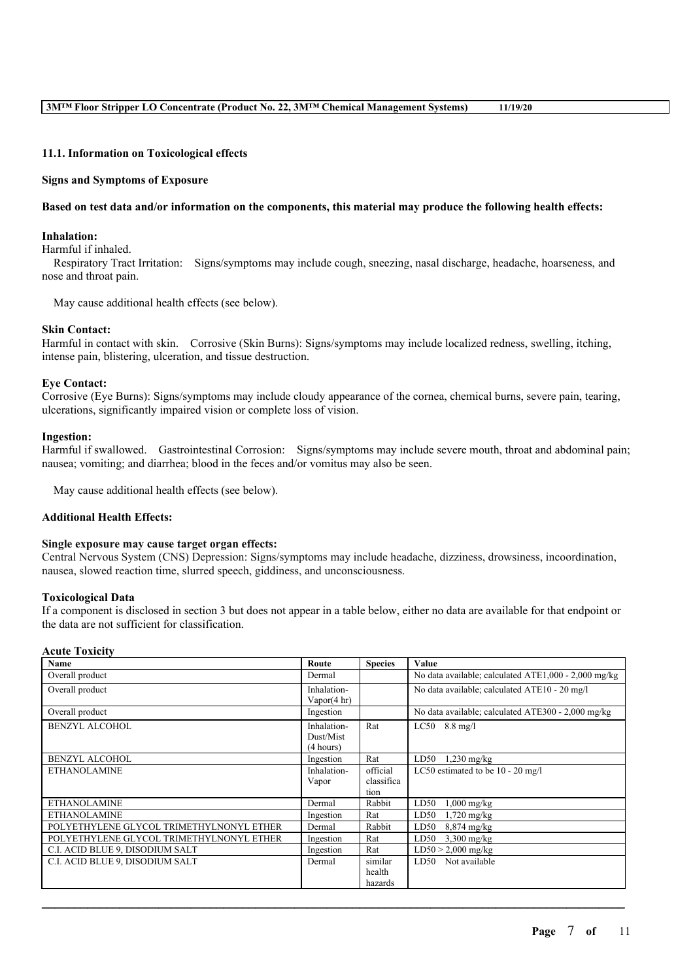#### **11.1. Information on Toxicological effects**

#### **Signs and Symptoms of Exposure**

#### Based on test data and/or information on the components, this material may produce the following health effects:

#### **Inhalation:**

Harmful if inhaled.

Respiratory Tract Irritation: Signs/symptoms may include cough, sneezing, nasal discharge, headache, hoarseness, and nose and throat pain.

May cause additional health effects (see below).

#### **Skin Contact:**

Harmful in contact with skin. Corrosive (Skin Burns): Signs/symptoms may include localized redness, swelling, itching, intense pain, blistering, ulceration, and tissue destruction.

#### **Eye Contact:**

Corrosive (Eye Burns): Signs/symptoms may include cloudy appearance of the cornea, chemical burns, severe pain, tearing, ulcerations, significantly impaired vision or complete loss of vision.

#### **Ingestion:**

Harmful if swallowed. Gastrointestinal Corrosion: Signs/symptoms may include severe mouth, throat and abdominal pain; nausea; vomiting; and diarrhea; blood in the feces and/or vomitus may also be seen.

May cause additional health effects (see below).

#### **Additional Health Effects:**

#### **Single exposure may cause target organ effects:**

Central Nervous System (CNS) Depression: Signs/symptoms may include headache, dizziness, drowsiness, incoordination, nausea, slowed reaction time, slurred speech, giddiness, and unconsciousness.

#### **Toxicological Data**

If a component is disclosed in section 3 but does not appear in a table below, either no data are available for that endpoint or the data are not sufficient for classification.

#### **Acute Toxicity**

| Name                                     | Route                                 | <b>Species</b> | Value                                                |
|------------------------------------------|---------------------------------------|----------------|------------------------------------------------------|
| Overall product                          | Dermal                                |                | No data available; calculated ATE1,000 - 2,000 mg/kg |
| Overall product                          | Inhalation-<br>Vapor $(4 \text{ hr})$ |                | No data available; calculated ATE10 - 20 mg/l        |
| Overall product                          | Ingestion                             |                | No data available; calculated ATE300 - 2,000 mg/kg   |
| <b>BENZYL ALCOHOL</b>                    | Inhalation-<br>Dust/Mist<br>(4 hours) | Rat            | $LC50$ 8.8 mg/l                                      |
| <b>BENZYL ALCOHOL</b>                    | Ingestion                             | Rat            | LD50<br>$1,230$ mg/kg                                |
| <b>ETHANOLAMINE</b>                      | Inhalation-                           | official       | LC50 estimated to be $10 - 20$ mg/l                  |
|                                          | Vapor                                 | classifica     |                                                      |
| <b>ETHANOLAMINE</b>                      |                                       | tion           |                                                      |
|                                          | Dermal                                | Rabbit         | LD50<br>$1,000$ mg/kg                                |
| <b>ETHANOLAMINE</b>                      | Ingestion                             | Rat            | $1,720$ mg/kg<br>LD50                                |
| POLYETHYLENE GLYCOL TRIMETHYLNONYL ETHER | Dermal                                | Rabbit         | $8,874$ mg/kg<br>LD50                                |
| POLYETHYLENE GLYCOL TRIMETHYLNONYL ETHER | Ingestion                             | Rat            | LD50<br>$3,300$ mg/kg                                |
| C.I. ACID BLUE 9, DISODIUM SALT          | Ingestion                             | Rat            | $LD50 > 2,000$ mg/kg                                 |
| C.I. ACID BLUE 9, DISODIUM SALT          | Dermal                                | similar        | LD50<br>Not available                                |
|                                          |                                       | health         |                                                      |
|                                          |                                       | hazards        |                                                      |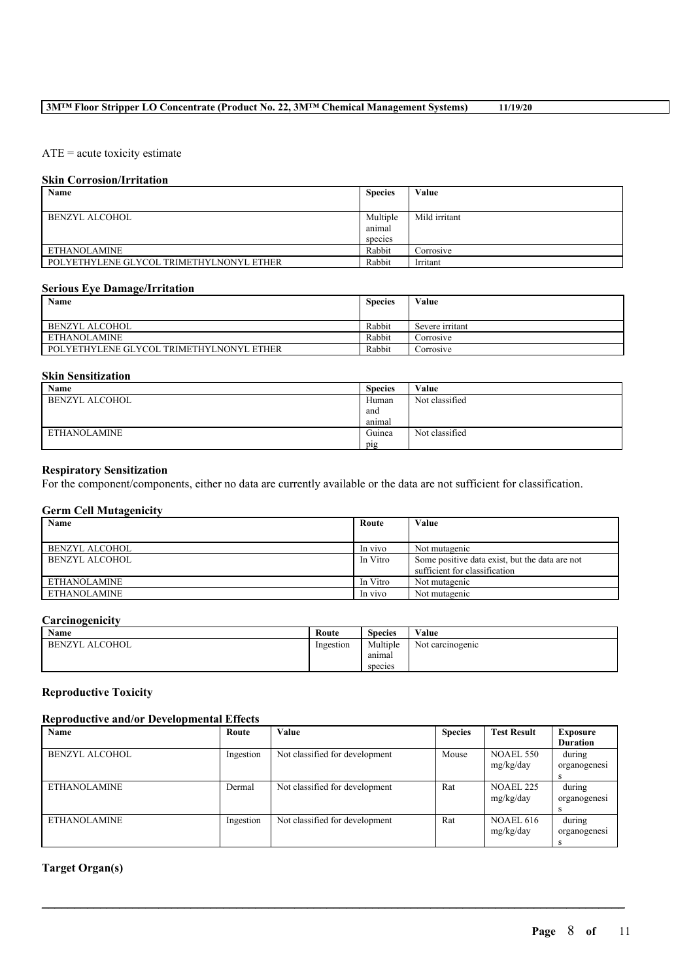### ATE = acute toxicity estimate

#### **Skin Corrosion/Irritation**

| Name                                     | <b>Species</b> | Value         |
|------------------------------------------|----------------|---------------|
|                                          |                |               |
| BENZYL ALCOHOL                           | Multiple       | Mild irritant |
|                                          | animal         |               |
|                                          | species        |               |
| ETHANOLAMINE                             | Rabbit         | Corrosive     |
| POLYETHYLENE GLYCOL TRIMETHYLNONYL ETHER | Rabbit         | Irritant      |

### **Serious Eye Damage/Irritation**

| Name                                     | <b>Species</b> | Value           |
|------------------------------------------|----------------|-----------------|
| BENZYL ALCOHOL                           | Rabbit         | Severe irritant |
| <b>ETHANOLAMINE</b>                      | Rabbit         | Corrosive       |
| POLYETHYLENE GLYCOL TRIMETHYLNONYL ETHER | Rabbit         | Corrosive       |

### **Skin Sensitization**

| Name                | <b>Species</b> | Value          |
|---------------------|----------------|----------------|
| BENZYL ALCOHOL      | Human          | Not classified |
|                     | and            |                |
|                     | animal         |                |
| <b>ETHANOLAMINE</b> | Guinea         | Not classified |
|                     | pig            |                |

#### **Respiratory Sensitization**

For the component/components, either no data are currently available or the data are not sufficient for classification.

#### **Germ Cell Mutagenicity**

| Name                | Route    | Value                                                                           |
|---------------------|----------|---------------------------------------------------------------------------------|
| BENZYL ALCOHOL      | In vivo  | Not mutagenic                                                                   |
| BENZYL ALCOHOL      | In Vitro | Some positive data exist, but the data are not<br>sufficient for classification |
| ETHANOLAMINE        | In Vitro | Not mutagenic                                                                   |
| <b>ETHANOLAMINE</b> | In vivo  | Not mutagenic                                                                   |

### **Carcinogenicity**

| Name                            | Route     | <b>Species</b> | Value            |
|---------------------------------|-----------|----------------|------------------|
| <b>ALCOHOL</b><br><b>BENZYL</b> | Ingestion | Multiple       | Not carcinogenic |
|                                 |           | anımal         |                  |
|                                 |           | species        |                  |

### **Reproductive Toxicity**

### **Reproductive and/or Developmental Effects**

| Name                  | Route     | Value                          | <b>Species</b> | <b>Test Result</b> | <b>Exposure</b> |
|-----------------------|-----------|--------------------------------|----------------|--------------------|-----------------|
|                       |           |                                |                |                    | <b>Duration</b> |
| <b>BENZYL ALCOHOL</b> | Ingestion | Not classified for development | Mouse          | <b>NOAEL 550</b>   | during          |
|                       |           |                                |                | mg/kg/day          | organogenesi    |
|                       |           |                                |                |                    |                 |
| <b>ETHANOLAMINE</b>   | Dermal    | Not classified for development | Rat            | <b>NOAEL 225</b>   | during          |
|                       |           |                                |                | mg/kg/day          | organogenesi    |
|                       |           |                                |                |                    |                 |
| <b>ETHANOLAMINE</b>   | Ingestion | Not classified for development | Rat            | <b>NOAEL 616</b>   | during          |
|                       |           |                                |                | mg/kg/day          | organogenesi    |
|                       |           |                                |                |                    |                 |

 $\mathcal{L}_\mathcal{L} = \mathcal{L}_\mathcal{L} = \mathcal{L}_\mathcal{L} = \mathcal{L}_\mathcal{L} = \mathcal{L}_\mathcal{L} = \mathcal{L}_\mathcal{L} = \mathcal{L}_\mathcal{L} = \mathcal{L}_\mathcal{L} = \mathcal{L}_\mathcal{L} = \mathcal{L}_\mathcal{L} = \mathcal{L}_\mathcal{L} = \mathcal{L}_\mathcal{L} = \mathcal{L}_\mathcal{L} = \mathcal{L}_\mathcal{L} = \mathcal{L}_\mathcal{L} = \mathcal{L}_\mathcal{L} = \mathcal{L}_\mathcal{L}$ 

### **Target Organ(s)**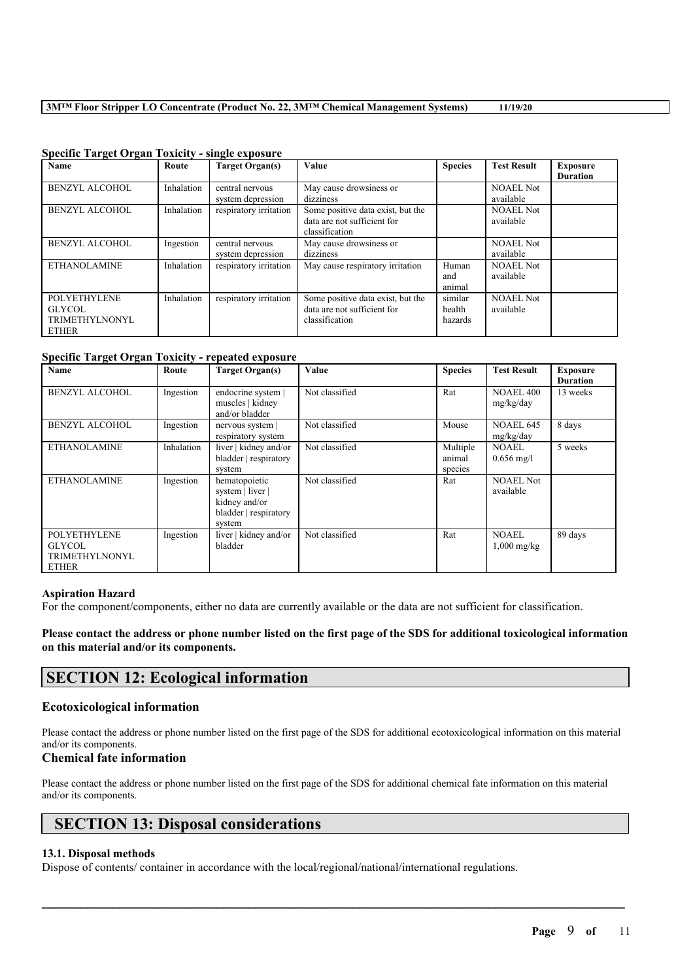| $\sim$ peeme target of gain follows |            |                        |                                   |                |                    |                 |
|-------------------------------------|------------|------------------------|-----------------------------------|----------------|--------------------|-----------------|
| <b>Name</b>                         | Route      | Target Organ(s)        | Value                             | <b>Species</b> | <b>Test Result</b> | <b>Exposure</b> |
|                                     |            |                        |                                   |                |                    | <b>Duration</b> |
| <b>BENZYL ALCOHOL</b>               | Inhalation | central nervous        | May cause drowsiness or           |                | <b>NOAEL Not</b>   |                 |
|                                     |            | system depression      | dizziness                         |                | available          |                 |
| <b>BENZYL ALCOHOL</b>               | Inhalation | respiratory irritation | Some positive data exist, but the |                | <b>NOAEL Not</b>   |                 |
|                                     |            |                        | data are not sufficient for       |                | available          |                 |
|                                     |            |                        | classification                    |                |                    |                 |
| <b>BENZYL ALCOHOL</b>               | Ingestion  | central nervous        | May cause drowsiness or           |                | <b>NOAEL Not</b>   |                 |
|                                     |            | system depression      | dizziness                         |                | available          |                 |
| <b>ETHANOLAMINE</b>                 | Inhalation | respiratory irritation | May cause respiratory irritation  | Human          | <b>NOAEL Not</b>   |                 |
|                                     |            |                        |                                   | and            | available          |                 |
|                                     |            |                        |                                   | animal         |                    |                 |
| <b>POLYETHYLENE</b>                 | Inhalation | respiratory irritation | Some positive data exist, but the | similar        | <b>NOAEL Not</b>   |                 |
| <b>GLYCOL</b>                       |            |                        | data are not sufficient for       | health         | available          |                 |
| <b>TRIMETHYLNONYL</b>               |            |                        | classification                    | hazards        |                    |                 |
| <b>ETHER</b>                        |            |                        |                                   |                |                    |                 |

### **Specific Target Organ Toxicity - single exposure**

### **Specific Target Organ Toxicity - repeated exposure**

| Name                                                                          | Route      | <b>Target Organ(s)</b>                                                                | Value          | <b>Species</b>                | <b>Test Result</b>                   | <b>Exposure</b><br><b>Duration</b> |
|-------------------------------------------------------------------------------|------------|---------------------------------------------------------------------------------------|----------------|-------------------------------|--------------------------------------|------------------------------------|
| <b>BENZYL ALCOHOL</b>                                                         | Ingestion  | endocrine system  <br>muscles   kidney<br>and/or bladder                              | Not classified | Rat                           | <b>NOAEL 400</b><br>mg/kg/day        | 13 weeks                           |
| <b>BENZYL ALCOHOL</b>                                                         | Ingestion  | nervous system<br>respiratory system                                                  | Not classified | Mouse                         | NOAEL 645<br>mg/kg/day               | 8 days                             |
| <b>ETHANOLAMINE</b>                                                           | Inhalation | liver   kidney and/or<br>bladder   respiratory<br>system                              | Not classified | Multiple<br>animal<br>species | <b>NOAEL</b><br>$0.656 \text{ mg/l}$ | 5 weeks                            |
| <b>ETHANOLAMINE</b>                                                           | Ingestion  | hematopoietic<br>system   liver  <br>kidney and/or<br>bladder   respiratory<br>system | Not classified | Rat                           | <b>NOAEL Not</b><br>available        |                                    |
| <b>POLYETHYLENE</b><br><b>GLYCOL</b><br><b>TRIMETHYLNONYL</b><br><b>ETHER</b> | Ingestion  | liver   kidney and/or<br>bladder                                                      | Not classified | Rat                           | <b>NOAEL</b><br>$1,000$ mg/kg        | 89 days                            |

### **Aspiration Hazard**

For the component/components, either no data are currently available or the data are not sufficient for classification.

Please contact the address or phone number listed on the first page of the SDS for additional toxicological information **on this material and/or its components.**

# **SECTION 12: Ecological information**

### **Ecotoxicological information**

Please contact the address or phone number listed on the first page of the SDS for additional ecotoxicological information on this material and/or its components.

### **Chemical fate information**

Please contact the address or phone number listed on the first page of the SDS for additional chemical fate information on this material and/or its components.

 $\mathcal{L}_\mathcal{L} = \mathcal{L}_\mathcal{L} = \mathcal{L}_\mathcal{L} = \mathcal{L}_\mathcal{L} = \mathcal{L}_\mathcal{L} = \mathcal{L}_\mathcal{L} = \mathcal{L}_\mathcal{L} = \mathcal{L}_\mathcal{L} = \mathcal{L}_\mathcal{L} = \mathcal{L}_\mathcal{L} = \mathcal{L}_\mathcal{L} = \mathcal{L}_\mathcal{L} = \mathcal{L}_\mathcal{L} = \mathcal{L}_\mathcal{L} = \mathcal{L}_\mathcal{L} = \mathcal{L}_\mathcal{L} = \mathcal{L}_\mathcal{L}$ 

# **SECTION 13: Disposal considerations**

## **13.1. Disposal methods**

Dispose of contents/ container in accordance with the local/regional/national/international regulations.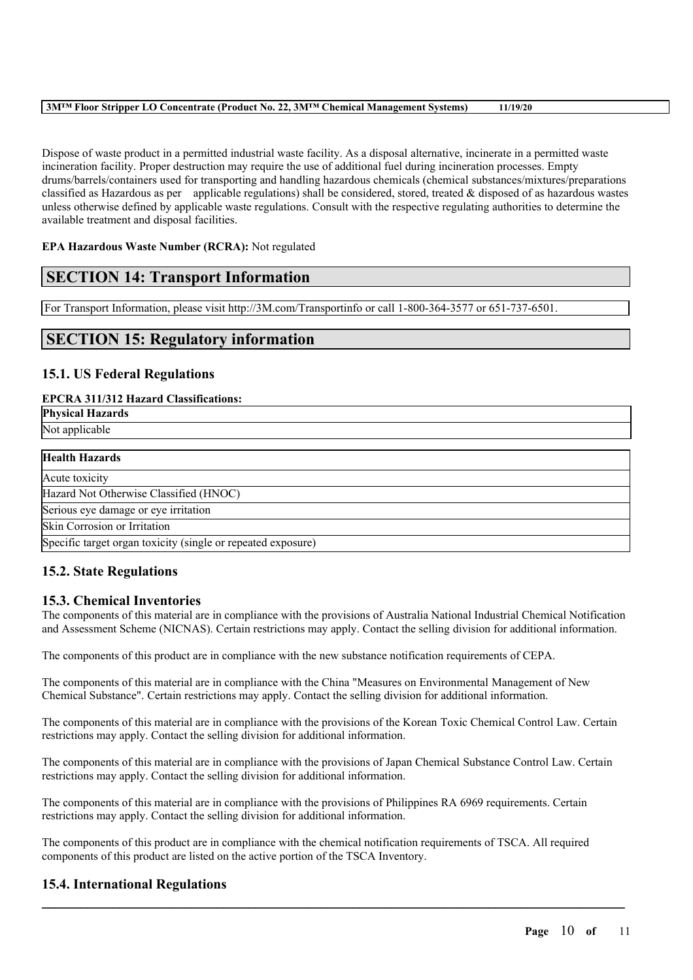Dispose of waste product in a permitted industrial waste facility. As a disposal alternative, incinerate in a permitted waste incineration facility. Proper destruction may require the use of additional fuel during incineration processes. Empty drums/barrels/containers used for transporting and handling hazardous chemicals (chemical substances/mixtures/preparations classified as Hazardous as per applicable regulations) shall be considered, stored, treated  $\&$  disposed of as hazardous wastes unless otherwise defined by applicable waste regulations. Consult with the respective regulating authorities to determine the available treatment and disposal facilities.

### **EPA Hazardous Waste Number (RCRA):** Not regulated

# **SECTION 14: Transport Information**

For Transport Information, please visit http://3M.com/Transportinfo or call 1-800-364-3577 or 651-737-6501.

# **SECTION 15: Regulatory information**

## **15.1. US Federal Regulations**

### **EPCRA 311/312 Hazard Classifications:**

| <b>Physical Hazards</b>                                      |
|--------------------------------------------------------------|
| Not applicable                                               |
|                                                              |
| <b>Health Hazards</b>                                        |
| Acute toxicity                                               |
| Hazard Not Otherwise Classified (HNOC)                       |
| Serious eye damage or eye irritation                         |
| Skin Corrosion or Irritation                                 |
| Specific target organ toxicity (single or repeated exposure) |

## **15.2. State Regulations**

### **15.3. Chemical Inventories**

The components of this material are in compliance with the provisions of Australia National Industrial Chemical Notification and Assessment Scheme (NICNAS). Certain restrictions may apply. Contact the selling division for additional information.

The components of this product are in compliance with the new substance notification requirements of CEPA.

The components of this material are in compliance with the China "Measures on Environmental Management of New Chemical Substance". Certain restrictions may apply. Contact the selling division for additional information.

The components of this material are in compliance with the provisions of the Korean Toxic Chemical Control Law. Certain restrictions may apply. Contact the selling division for additional information.

The components of this material are in compliance with the provisions of Japan Chemical Substance Control Law. Certain restrictions may apply. Contact the selling division for additional information.

The components of this material are in compliance with the provisions of Philippines RA 6969 requirements. Certain restrictions may apply. Contact the selling division for additional information.

The components of this product are in compliance with the chemical notification requirements of TSCA. All required components of this product are listed on the active portion of the TSCA Inventory.

 $\mathcal{L}_\mathcal{L} = \mathcal{L}_\mathcal{L} = \mathcal{L}_\mathcal{L} = \mathcal{L}_\mathcal{L} = \mathcal{L}_\mathcal{L} = \mathcal{L}_\mathcal{L} = \mathcal{L}_\mathcal{L} = \mathcal{L}_\mathcal{L} = \mathcal{L}_\mathcal{L} = \mathcal{L}_\mathcal{L} = \mathcal{L}_\mathcal{L} = \mathcal{L}_\mathcal{L} = \mathcal{L}_\mathcal{L} = \mathcal{L}_\mathcal{L} = \mathcal{L}_\mathcal{L} = \mathcal{L}_\mathcal{L} = \mathcal{L}_\mathcal{L}$ 

## **15.4. International Regulations**